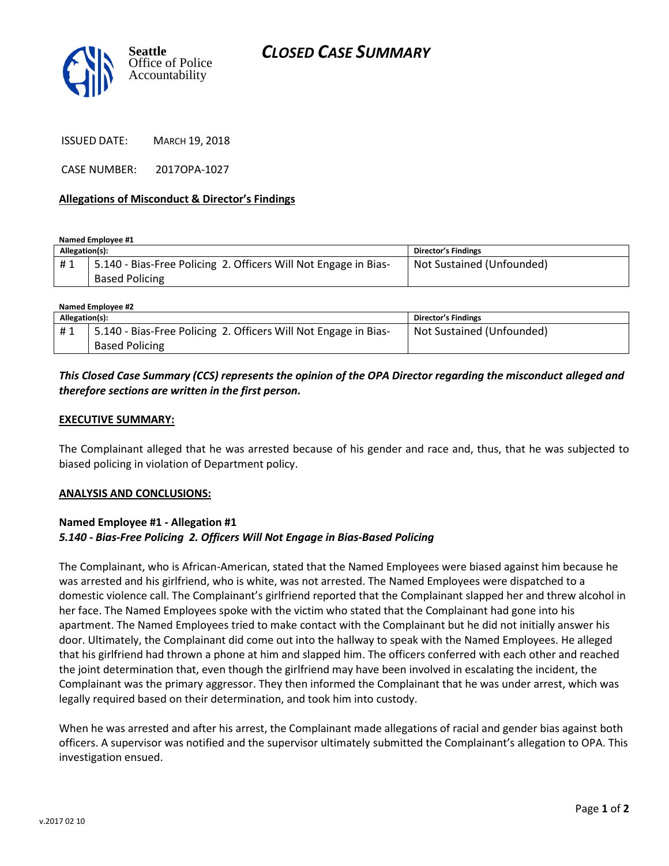



ISSUED DATE: MARCH 19, 2018

CASE NUMBER: 2017OPA-1027

#### **Allegations of Misconduct & Director's Findings**

**Named Employee #1**

| Allegation(s): |                                                                  | <b>Director's Findings</b> |
|----------------|------------------------------------------------------------------|----------------------------|
| #1             | 15.140 - Bias-Free Policing 2. Officers Will Not Engage in Bias- | Not Sustained (Unfounded)  |
|                | <b>Based Policing</b>                                            |                            |

| Named Employee #2 |                                                                 |                           |  |
|-------------------|-----------------------------------------------------------------|---------------------------|--|
| Allegation(s):    |                                                                 | Director's Findings       |  |
| #1                | 5.140 - Bias-Free Policing 2. Officers Will Not Engage in Bias- | Not Sustained (Unfounded) |  |
|                   | <b>Based Policing</b>                                           |                           |  |

## *This Closed Case Summary (CCS) represents the opinion of the OPA Director regarding the misconduct alleged and therefore sections are written in the first person.*

#### **EXECUTIVE SUMMARY:**

The Complainant alleged that he was arrested because of his gender and race and, thus, that he was subjected to biased policing in violation of Department policy.

#### **ANALYSIS AND CONCLUSIONS:**

## **Named Employee #1 - Allegation #1** *5.140 - Bias-Free Policing 2. Officers Will Not Engage in Bias-Based Policing*

The Complainant, who is African-American, stated that the Named Employees were biased against him because he was arrested and his girlfriend, who is white, was not arrested. The Named Employees were dispatched to a domestic violence call. The Complainant's girlfriend reported that the Complainant slapped her and threw alcohol in her face. The Named Employees spoke with the victim who stated that the Complainant had gone into his apartment. The Named Employees tried to make contact with the Complainant but he did not initially answer his door. Ultimately, the Complainant did come out into the hallway to speak with the Named Employees. He alleged that his girlfriend had thrown a phone at him and slapped him. The officers conferred with each other and reached the joint determination that, even though the girlfriend may have been involved in escalating the incident, the Complainant was the primary aggressor. They then informed the Complainant that he was under arrest, which was legally required based on their determination, and took him into custody.

When he was arrested and after his arrest, the Complainant made allegations of racial and gender bias against both officers. A supervisor was notified and the supervisor ultimately submitted the Complainant's allegation to OPA. This investigation ensued.